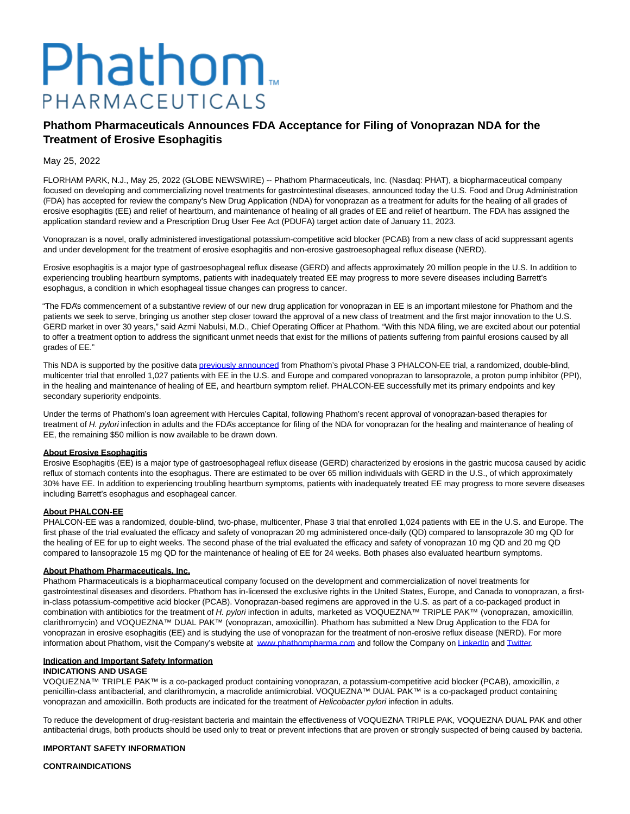# Phathom. PHARMACEUTICALS

## **Phathom Pharmaceuticals Announces FDA Acceptance for Filing of Vonoprazan NDA for the Treatment of Erosive Esophagitis**

#### May 25, 2022

FLORHAM PARK, N.J., May 25, 2022 (GLOBE NEWSWIRE) -- Phathom Pharmaceuticals, Inc. (Nasdaq: PHAT), a biopharmaceutical company focused on developing and commercializing novel treatments for gastrointestinal diseases, announced today the U.S. Food and Drug Administration (FDA) has accepted for review the company's New Drug Application (NDA) for vonoprazan as a treatment for adults for the healing of all grades of erosive esophagitis (EE) and relief of heartburn, and maintenance of healing of all grades of EE and relief of heartburn. The FDA has assigned the application standard review and a Prescription Drug User Fee Act (PDUFA) target action date of January 11, 2023.

Vonoprazan is a novel, orally administered investigational potassium-competitive acid blocker (PCAB) from a new class of acid suppressant agents and under development for the treatment of erosive esophagitis and non-erosive gastroesophageal reflux disease (NERD).

Erosive esophagitis is a major type of gastroesophageal reflux disease (GERD) and affects approximately 20 million people in the U.S. In addition to experiencing troubling heartburn symptoms, patients with inadequately treated EE may progress to more severe diseases including Barrett's esophagus, a condition in which esophageal tissue changes can progress to cancer.

"The FDA's commencement of a substantive review of our new drug application for vonoprazan in EE is an important milestone for Phathom and the patients we seek to serve, bringing us another step closer toward the approval of a new class of treatment and the first major innovation to the U.S. GERD market in over 30 years," said Azmi Nabulsi, M.D., Chief Operating Officer at Phathom. "With this NDA filing, we are excited about our potential to offer a treatment option to address the significant unmet needs that exist for the millions of patients suffering from painful erosions caused by all grades of EE."

This NDA is supported by the positive data [previously announced f](https://www.globenewswire.com/Tracker?data=7EKSn4BSpoKci36MnyksiaP24QtK5hOykll1TN5U12Qc9qnePtC0jhJJvh8FYVo4t8sEgc4y5dgkLLfMTU78H4d1wURrExs4TzuA6L3tY0UEFS7Iwv3-WTxyxIWPanzrwl4jOOHSV2lGZUhxyIogG1X3zN6CCCMEGpJUztMnWcGIqM224A38AVxqL7wdrX8p6gyStca66qxmO_iWve3z2-TCSyLPX_UvVyg_mYISzrg=)rom Phathom's pivotal Phase 3 PHALCON-EE trial, a randomized, double-blind, multicenter trial that enrolled 1,027 patients with EE in the U.S. and Europe and compared vonoprazan to lansoprazole, a proton pump inhibitor (PPI), in the healing and maintenance of healing of EE, and heartburn symptom relief. PHALCON-EE successfully met its primary endpoints and key secondary superiority endpoints.

Under the terms of Phathom's loan agreement with Hercules Capital, following Phathom's recent approval of vonoprazan-based therapies for treatment of H. pylori infection in adults and the FDA's acceptance for filing of the NDA for vonoprazan for the healing and maintenance of healing of EE, the remaining \$50 million is now available to be drawn down.

#### **About Erosive Esophagitis**

Erosive Esophagitis (EE) is a major type of gastroesophageal reflux disease (GERD) characterized by erosions in the gastric mucosa caused by acidic reflux of stomach contents into the esophagus. There are estimated to be over 65 million individuals with GERD in the U.S., of which approximately 30% have EE. In addition to experiencing troubling heartburn symptoms, patients with inadequately treated EE may progress to more severe diseases including Barrett's esophagus and esophageal cancer.

#### **About PHALCON-EE**

PHALCON-EE was a randomized, double-blind, two-phase, multicenter, Phase 3 trial that enrolled 1,024 patients with EE in the U.S. and Europe. The first phase of the trial evaluated the efficacy and safety of vonoprazan 20 mg administered once-daily (QD) compared to lansoprazole 30 mg QD for the healing of EE for up to eight weeks. The second phase of the trial evaluated the efficacy and safety of vonoprazan 10 mg QD and 20 mg QD compared to lansoprazole 15 mg QD for the maintenance of healing of EE for 24 weeks. Both phases also evaluated heartburn symptoms.

#### **About Phathom Pharmaceuticals, Inc.**

Phathom Pharmaceuticals is a biopharmaceutical company focused on the development and commercialization of novel treatments for gastrointestinal diseases and disorders. Phathom has in-licensed the exclusive rights in the United States, Europe, and Canada to vonoprazan, a firstin-class potassium-competitive acid blocker (PCAB). Vonoprazan-based regimens are approved in the U.S. as part of a co-packaged product in combination with antibiotics for the treatment of H. pylori infection in adults, marketed as VOQUEZNA™ TRIPLE PAK™ (vonoprazan, amoxicillin, clarithromycin) and VOQUEZNA™ DUAL PAK™ (vonoprazan, amoxicillin). Phathom has submitted a New Drug Application to the FDA for vonoprazan in erosive esophagitis (EE) and is studying the use of vonoprazan for the treatment of non-erosive reflux disease (NERD). For more information about Phathom, visit the Company's website at [www.phathompharma.com a](https://www.globenewswire.com/Tracker?data=vK_l1PW9k8UZsHYRzhRBYQsSv8u_-KDueNUzc0H09wP60mlZdRyMIuwY-AL3R2zEa6gC4xDNM1bsyW7Nz-eAVB3RU6S73fJed7mMMU_Yp3c=)nd follow the Company o[n LinkedIn a](https://www.globenewswire.com/Tracker?data=vNcyWpRXwKl18btRzalhttClr-nHkgqV1bnUMwTC40N2aH3zc6OA-USZS4Ofngs2ZogiQN3Y_ZAWT5974e_E4EuwVOeajNt4P_6eel-QrP4=)nd [Twitter.](https://www.globenewswire.com/Tracker?data=g6TJQniFcLTHNX1aQtc4RDd-lRuZB_rvZZK5oNVCZl9Lh4nJ92aTwLXEsJlJdyUZcxD3lhjMz5lsbkvRDPgmgwszKFT3daBbc_miXk6FOPQ=)

# **Indication and Important Safety Information**

### **INDICATIONS AND USAGE**

VOQUEZNA™ TRIPLE PAK™ is a co-packaged product containing vonoprazan, a potassium-competitive acid blocker (PCAB), amoxicillin, a penicillin-class antibacterial, and clarithromycin, a macrolide antimicrobial. VOQUEZNA™ DUAL PAK™ is a co-packaged product containing vonoprazan and amoxicillin. Both products are indicated for the treatment of Helicobacter pylori infection in adults.

To reduce the development of drug-resistant bacteria and maintain the effectiveness of VOQUEZNA TRIPLE PAK, VOQUEZNA DUAL PAK and other antibacterial drugs, both products should be used only to treat or prevent infections that are proven or strongly suspected of being caused by bacteria.

#### **IMPORTANT SAFETY INFORMATION**

#### **CONTRAINDICATIONS**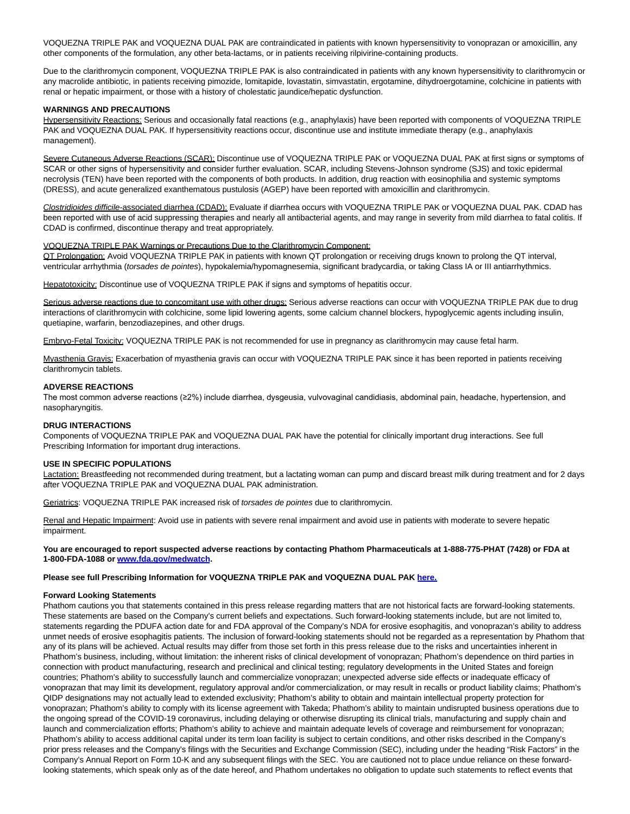VOQUEZNA TRIPLE PAK and VOQUEZNA DUAL PAK are contraindicated in patients with known hypersensitivity to vonoprazan or amoxicillin, any other components of the formulation, any other beta-lactams, or in patients receiving rilpivirine-containing products.

Due to the clarithromycin component, VOQUEZNA TRIPLE PAK is also contraindicated in patients with any known hypersensitivity to clarithromycin or any macrolide antibiotic, in patients receiving pimozide, lomitapide, lovastatin, simvastatin, ergotamine, dihydroergotamine, colchicine in patients with renal or hepatic impairment, or those with a history of cholestatic jaundice/hepatic dysfunction.

#### **WARNINGS AND PRECAUTIONS**

Hypersensitivity Reactions: Serious and occasionally fatal reactions (e.g., anaphylaxis) have been reported with components of VOQUEZNA TRIPLE PAK and VOQUEZNA DUAL PAK. If hypersensitivity reactions occur, discontinue use and institute immediate therapy (e.g., anaphylaxis management).

Severe Cutaneous Adverse Reactions (SCAR): Discontinue use of VOQUEZNA TRIPLE PAK or VOQUEZNA DUAL PAK at first signs or symptoms of SCAR or other signs of hypersensitivity and consider further evaluation. SCAR, including Stevens-Johnson syndrome (SJS) and toxic epidermal necrolysis (TEN) have been reported with the components of both products. In addition, drug reaction with eosinophilia and systemic symptoms (DRESS), and acute generalized exanthematous pustulosis (AGEP) have been reported with amoxicillin and clarithromycin.

Clostridioides difficile-associated diarrhea (CDAD): Evaluate if diarrhea occurs with VOQUEZNA TRIPLE PAK or VOQUEZNA DUAL PAK. CDAD has been reported with use of acid suppressing therapies and nearly all antibacterial agents, and may range in severity from mild diarrhea to fatal colitis. If CDAD is confirmed, discontinue therapy and treat appropriately.

#### VOQUEZNA TRIPLE PAK Warnings or Precautions Due to the Clarithromycin Component:

QT Prolongation: Avoid VOQUEZNA TRIPLE PAK in patients with known QT prolongation or receiving drugs known to prolong the QT interval, ventricular arrhythmia (torsades de pointes), hypokalemia/hypomagnesemia, significant bradycardia, or taking Class IA or III antiarrhythmics.

Hepatotoxicity: Discontinue use of VOQUEZNA TRIPLE PAK if signs and symptoms of hepatitis occur.

Serious adverse reactions due to concomitant use with other drugs: Serious adverse reactions can occur with VOQUEZNA TRIPLE PAK due to drug interactions of clarithromycin with colchicine, some lipid lowering agents, some calcium channel blockers, hypoglycemic agents including insulin, quetiapine, warfarin, benzodiazepines, and other drugs.

Embryo-Fetal Toxicity: VOQUEZNA TRIPLE PAK is not recommended for use in pregnancy as clarithromycin may cause fetal harm.

Myasthenia Gravis: Exacerbation of myasthenia gravis can occur with VOQUEZNA TRIPLE PAK since it has been reported in patients receiving clarithromycin tablets.

#### **ADVERSE REACTIONS**

The most common adverse reactions (≥2%) include diarrhea, dysgeusia, vulvovaginal candidiasis, abdominal pain, headache, hypertension, and nasopharyngitis.

#### **DRUG INTERACTIONS**

Components of VOQUEZNA TRIPLE PAK and VOQUEZNA DUAL PAK have the potential for clinically important drug interactions. See full Prescribing Information for important drug interactions.

#### **USE IN SPECIFIC POPULATIONS**

Lactation: Breastfeeding not recommended during treatment, but a lactating woman can pump and discard breast milk during treatment and for 2 days after VOQUEZNA TRIPLE PAK and VOQUEZNA DUAL PAK administration.

Geriatrics: VOQUEZNA TRIPLE PAK increased risk of torsades de pointes due to clarithromycin.

Renal and Hepatic Impairment: Avoid use in patients with severe renal impairment and avoid use in patients with moderate to severe hepatic impairment.

#### **You are encouraged to report suspected adverse reactions by contacting Phathom Pharmaceuticals at 1-888-775-PHAT (7428) or FDA at 1-800-FDA-1088 o[r www.fda.gov/medwatch.](https://www.globenewswire.com/Tracker?data=gAGGfBSdoZ3VviaCd6bmRCeP186jY2GE9dtcwxet9pBEUR1-3P_QolQS81-FNnwDinSqFsPRRdJ-gDnYbxM_VJUo5OKXwLglGea4Zd-mbro=)**

#### **Please see full Prescribing Information for VOQUEZNA TRIPLE PAK and VOQUEZNA DUAL PAK [here.](https://www.globenewswire.com/Tracker?data=F6mTVboQXOodL3Lb_vPmbEPYr_8h6tPKKD6p1koMLfuhdQJeyJ7aWBdoKplZYh0ePqNCilUT8eObPmjCF20aUFdvxRHpvw6O-rd6tamJxFXb7MZ5z3tW2j6_vfzrsh0xFiLDaEZyIb-flD7e8qkz1j1NQaskhRgSBwuoLopFUspj7FM3hO-xKGpFy37mAPSx)**

#### **Forward Looking Statements**

Phathom cautions you that statements contained in this press release regarding matters that are not historical facts are forward-looking statements. These statements are based on the Company's current beliefs and expectations. Such forward-looking statements include, but are not limited to, statements regarding the PDUFA action date for and FDA approval of the Company's NDA for erosive esophagitis, and vonoprazan's ability to address unmet needs of erosive esophagitis patients. The inclusion of forward-looking statements should not be regarded as a representation by Phathom that any of its plans will be achieved. Actual results may differ from those set forth in this press release due to the risks and uncertainties inherent in Phathom's business, including, without limitation: the inherent risks of clinical development of vonoprazan; Phathom's dependence on third parties in connection with product manufacturing, research and preclinical and clinical testing; regulatory developments in the United States and foreign countries; Phathom's ability to successfully launch and commercialize vonoprazan; unexpected adverse side effects or inadequate efficacy of vonoprazan that may limit its development, regulatory approval and/or commercialization, or may result in recalls or product liability claims; Phathom's QIDP designations may not actually lead to extended exclusivity; Phathom's ability to obtain and maintain intellectual property protection for vonoprazan; Phathom's ability to comply with its license agreement with Takeda; Phathom's ability to maintain undisrupted business operations due to the ongoing spread of the COVID-19 coronavirus, including delaying or otherwise disrupting its clinical trials, manufacturing and supply chain and launch and commercialization efforts; Phathom's ability to achieve and maintain adequate levels of coverage and reimbursement for vonoprazan; Phathom's ability to access additional capital under its term loan facility is subject to certain conditions, and other risks described in the Company's prior press releases and the Company's filings with the Securities and Exchange Commission (SEC), including under the heading "Risk Factors" in the Company's Annual Report on Form 10-K and any subsequent filings with the SEC. You are cautioned not to place undue reliance on these forwardlooking statements, which speak only as of the date hereof, and Phathom undertakes no obligation to update such statements to reflect events that